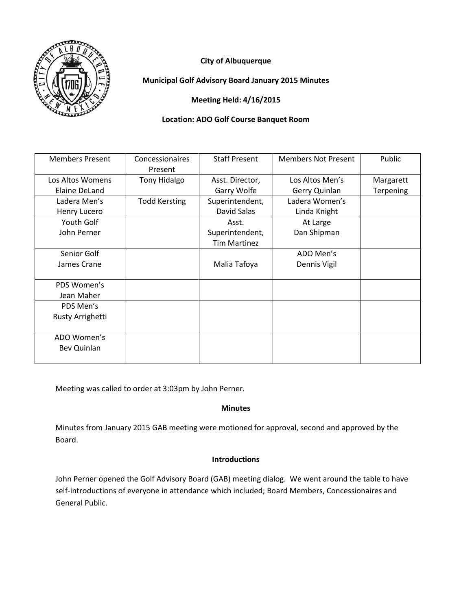



**Municipal Golf Advisory Board January 2015 Minutes**

**Meeting Held: 4/16/2015**

## **Location: ADO Golf Course Banquet Room**

| <b>Members Present</b> | Concessionaires<br>Present | <b>Staff Present</b> | <b>Members Not Present</b> | Public    |
|------------------------|----------------------------|----------------------|----------------------------|-----------|
| Los Altos Womens       | <b>Tony Hidalgo</b>        | Asst. Director,      | Los Altos Men's            | Margarett |
| Elaine DeLand          |                            | Garry Wolfe          | Gerry Quinlan              | Terpening |
| Ladera Men's           | <b>Todd Kersting</b>       | Superintendent,      | Ladera Women's             |           |
| Henry Lucero           |                            | David Salas          | Linda Knight               |           |
| Youth Golf             |                            | Asst.                | At Large                   |           |
| John Perner            |                            | Superintendent,      | Dan Shipman                |           |
|                        |                            | <b>Tim Martinez</b>  |                            |           |
| Senior Golf            |                            |                      | ADO Men's                  |           |
| James Crane            |                            | Malia Tafoya         | Dennis Vigil               |           |
|                        |                            |                      |                            |           |
| PDS Women's            |                            |                      |                            |           |
| Jean Maher             |                            |                      |                            |           |
| PDS Men's              |                            |                      |                            |           |
| Rusty Arrighetti       |                            |                      |                            |           |
|                        |                            |                      |                            |           |
| ADO Women's            |                            |                      |                            |           |
| Bev Quinlan            |                            |                      |                            |           |
|                        |                            |                      |                            |           |

Meeting was called to order at 3:03pm by John Perner.

# **Minutes**

Minutes from January 2015 GAB meeting were motioned for approval, second and approved by the Board.

## **Introductions**

John Perner opened the Golf Advisory Board (GAB) meeting dialog. We went around the table to have self-introductions of everyone in attendance which included; Board Members, Concessionaires and General Public.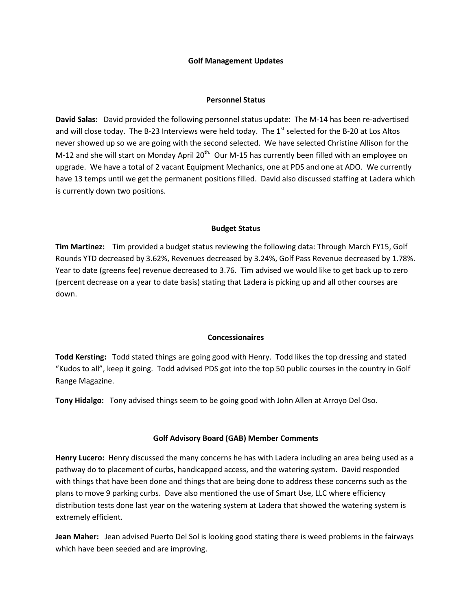#### **Golf Management Updates**

### **Personnel Status**

**David Salas:** David provided the following personnel status update: The M-14 has been re-advertised and will close today. The B-23 Interviews were held today. The  $1<sup>st</sup>$  selected for the B-20 at Los Altos never showed up so we are going with the second selected. We have selected Christine Allison for the M-12 and she will start on Monday April 20<sup>th.</sup> Our M-15 has currently been filled with an employee on upgrade. We have a total of 2 vacant Equipment Mechanics, one at PDS and one at ADO. We currently have 13 temps until we get the permanent positions filled. David also discussed staffing at Ladera which is currently down two positions.

### **Budget Status**

**Tim Martinez:** Tim provided a budget status reviewing the following data: Through March FY15, Golf Rounds YTD decreased by 3.62%, Revenues decreased by 3.24%, Golf Pass Revenue decreased by 1.78%. Year to date (greens fee) revenue decreased to 3.76. Tim advised we would like to get back up to zero (percent decrease on a year to date basis) stating that Ladera is picking up and all other courses are down.

## **Concessionaires**

**Todd Kersting:** Todd stated things are going good with Henry. Todd likes the top dressing and stated "Kudos to all", keep it going. Todd advised PDS got into the top 50 public courses in the country in Golf Range Magazine.

**Tony Hidalgo:** Tony advised things seem to be going good with John Allen at Arroyo Del Oso.

## **Golf Advisory Board (GAB) Member Comments**

**Henry Lucero:** Henry discussed the many concerns he has with Ladera including an area being used as a pathway do to placement of curbs, handicapped access, and the watering system. David responded with things that have been done and things that are being done to address these concerns such as the plans to move 9 parking curbs. Dave also mentioned the use of Smart Use, LLC where efficiency distribution tests done last year on the watering system at Ladera that showed the watering system is extremely efficient.

**Jean Maher:** Jean advised Puerto Del Sol is looking good stating there is weed problems in the fairways which have been seeded and are improving.